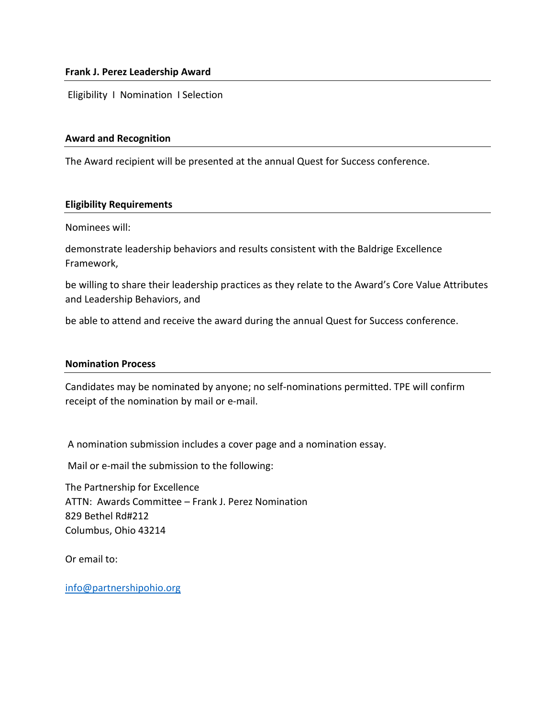### **Frank J. Perez Leadership Award**

Eligibility I Nomination I Selection

### **Award and Recognition**

The Award recipient will be presented at the annual Quest for Success conference.

### **Eligibility Requirements**

Nominees will:

demonstrate leadership behaviors and results consistent with the Baldrige Excellence Framework,

be willing to share their leadership practices as they relate to the Award's Core Value Attributes and Leadership Behaviors, and

be able to attend and receive the award during the annual Quest for Success conference.

### **Nomination Process**

Candidates may be nominated by anyone; no self-nominations permitted. TPE will confirm receipt of the nomination by mail or e-mail.

A nomination submission includes a cover page and a nomination essay.

Mail or e-mail the submission to the following:

The Partnership for Excellence ATTN: Awards Committee – Frank J. Perez Nomination 829 Bethel Rd#212 Columbus, Ohio 43214

Or email to:

[info@partnershipohio.org](mailto:info@partnershipohio.org)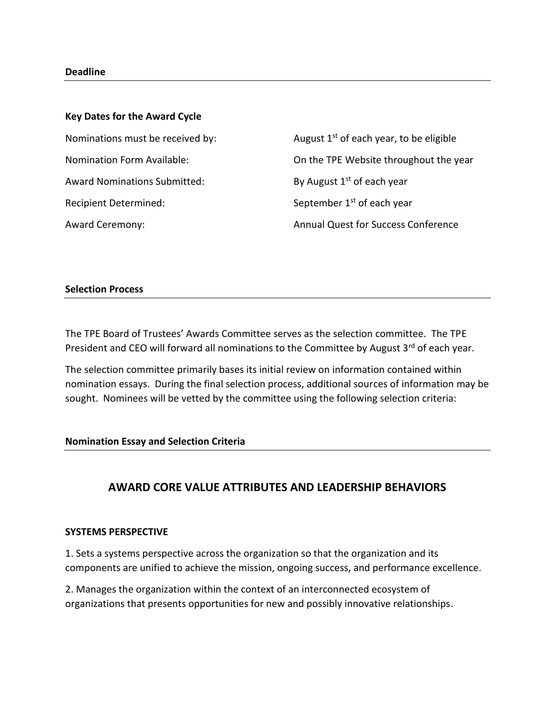### **Deadline**

# **Key Dates for the Award Cycle**

Award Nominations Submitted: By August  $1<sup>st</sup>$  of each year Recipient Determined: September 1<sup>st</sup> of each year

Nominations must be received by:  $\frac{1}{x}$  August 1<sup>st</sup> of each year, to be eligible Nomination Form Available: On the TPE Website throughout the year Award Ceremony: Annual Quest for Success Conference

### **Selection Process**

The TPE Board of Trustees' Awards Committee serves as the selection committee. The TPE President and CEO will forward all nominations to the Committee by August 3<sup>rd</sup> of each year.

The selection committee primarily bases its initial review on information contained within nomination essays. During the final selection process, additional sources of information may be sought. Nominees will be vetted by the committee using the following selection criteria:

### **Nomination Essay and Selection Criteria**

# **AWARD CORE VALUE ATTRIBUTES AND LEADERSHIP BEHAVIORS**

### **SYSTEMS PERSPECTIVE**

1. Sets a systems perspective across the organization so that the organization and its components are unified to achieve the mission, ongoing success, and performance excellence.

2. Manages the organization within the context of an interconnected ecosystem of organizations that presents opportunities for new and possibly innovative relationships.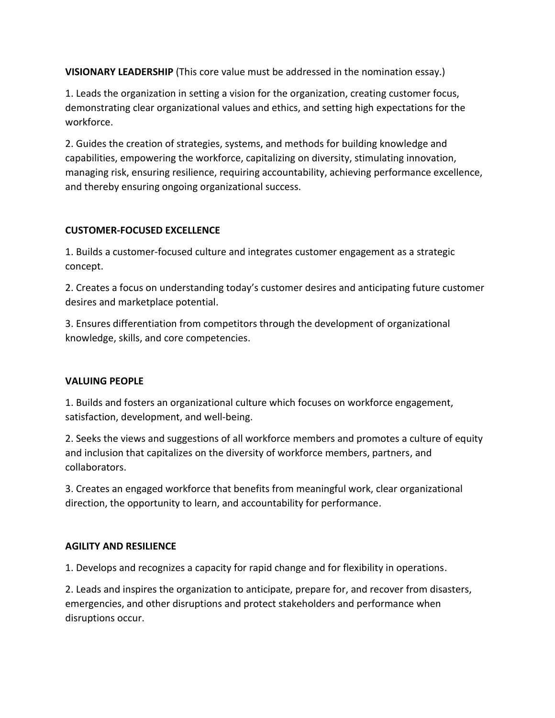**VISIONARY LEADERSHIP** (This core value must be addressed in the nomination essay.)

1. Leads the organization in setting a vision for the organization, creating customer focus, demonstrating clear organizational values and ethics, and setting high expectations for the workforce.

2. Guides the creation of strategies, systems, and methods for building knowledge and capabilities, empowering the workforce, capitalizing on diversity, stimulating innovation, managing risk, ensuring resilience, requiring accountability, achieving performance excellence, and thereby ensuring ongoing organizational success.

# **CUSTOMER-FOCUSED EXCELLENCE**

1. Builds a customer-focused culture and integrates customer engagement as a strategic concept.

2. Creates a focus on understanding today's customer desires and anticipating future customer desires and marketplace potential.

3. Ensures differentiation from competitors through the development of organizational knowledge, skills, and core competencies.

# **VALUING PEOPLE**

1. Builds and fosters an organizational culture which focuses on workforce engagement, satisfaction, development, and well-being.

2. Seeks the views and suggestions of all workforce members and promotes a culture of equity and inclusion that capitalizes on the diversity of workforce members, partners, and collaborators.

3. Creates an engaged workforce that benefits from meaningful work, clear organizational direction, the opportunity to learn, and accountability for performance.

# **AGILITY AND RESILIENCE**

1. Develops and recognizes a capacity for rapid change and for flexibility in operations.

2. Leads and inspires the organization to anticipate, prepare for, and recover from disasters, emergencies, and other disruptions and protect stakeholders and performance when disruptions occur.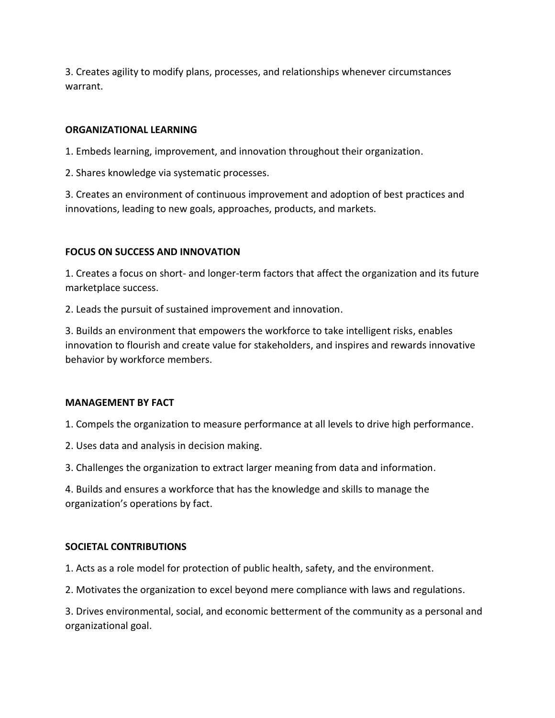3. Creates agility to modify plans, processes, and relationships whenever circumstances warrant.

# **ORGANIZATIONAL LEARNING**

1. Embeds learning, improvement, and innovation throughout their organization.

2. Shares knowledge via systematic processes.

3. Creates an environment of continuous improvement and adoption of best practices and innovations, leading to new goals, approaches, products, and markets.

# **FOCUS ON SUCCESS AND INNOVATION**

1. Creates a focus on short- and longer-term factors that affect the organization and its future marketplace success.

2. Leads the pursuit of sustained improvement and innovation.

3. Builds an environment that empowers the workforce to take intelligent risks, enables innovation to flourish and create value for stakeholders, and inspires and rewards innovative behavior by workforce members.

### **MANAGEMENT BY FACT**

1. Compels the organization to measure performance at all levels to drive high performance.

2. Uses data and analysis in decision making.

3. Challenges the organization to extract larger meaning from data and information.

4. Builds and ensures a workforce that has the knowledge and skills to manage the organization's operations by fact.

# **SOCIETAL CONTRIBUTIONS**

1. Acts as a role model for protection of public health, safety, and the environment.

2. Motivates the organization to excel beyond mere compliance with laws and regulations.

3. Drives environmental, social, and economic betterment of the community as a personal and organizational goal.